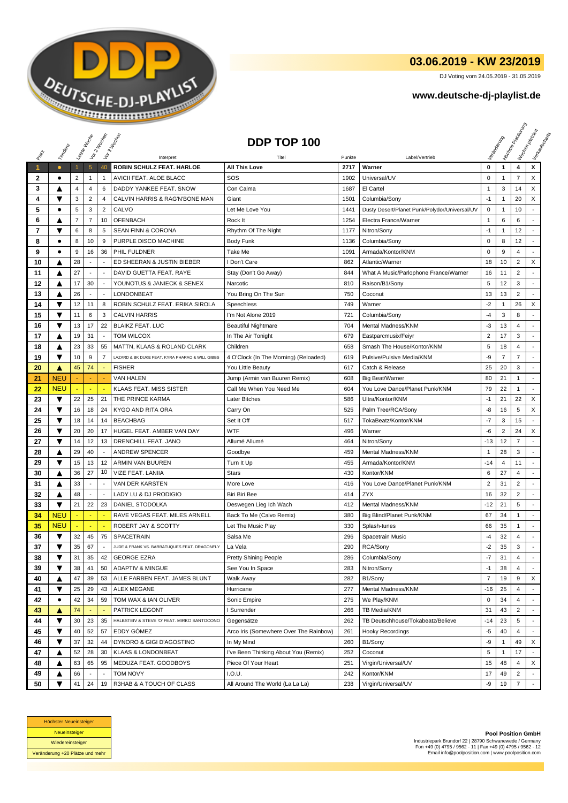

## **03.06.2019 - KW 23/2019**

DJ Voting vom 24.05.2019 - 31.05.2019

## **www.deutsche-dj-playlist.de**

|              |                      |              | Laizie Hacop             | Vor 2 Machen             | Vor 3 Income                                    | DDP TOP 100                            |        |                                               |                |                | <b>Licitorial Riversidens</b> | I tochen policien<br>I leave during |
|--------------|----------------------|--------------|--------------------------|--------------------------|-------------------------------------------------|----------------------------------------|--------|-----------------------------------------------|----------------|----------------|-------------------------------|-------------------------------------|
|              | Temporal             |              |                          |                          |                                                 |                                        |        |                                               |                |                |                               |                                     |
| PRIM         |                      |              |                          |                          | Interpret                                       | Titel                                  | Punkte | Label/Vertrieb                                |                |                |                               |                                     |
| 1            | $\bullet$            | $\mathbf{1}$ | $\overline{5}$           | 40                       | ROBIN SCHULZ FEAT. HARLOE                       | <b>All This Love</b>                   | 2717   | Warner                                        | 0              | $\mathbf{1}$   | 4                             | x                                   |
| $\mathbf{2}$ | ٠                    | 2            | 1                        | 1                        | AVICII FEAT. ALOE BLACC                         | SOS                                    | 1902   | Universal/UV                                  | 0              | 1              | $\overline{7}$                | X                                   |
| 3            | A                    | 4            | 4                        | 6                        | DADDY YANKEE FEAT. SNOW                         | Con Calma                              | 1687   | El Cartel                                     | $\mathbf{1}$   | 3              | 14                            | X                                   |
| 4            | ▼                    | 3            | $\overline{c}$           | 4                        | CALVIN HARRIS & RAG'N'BONE MAN                  | Giant                                  | 1501   | Columbia/Sony                                 | $-1$           | $\mathbf{1}$   | 20                            | X                                   |
| 5            | $\bullet$            | 5            | 3                        | $\overline{2}$           | CALVO                                           | Let Me Love You                        | 1441   | Dusty Desert/Planet Punk/Polydor/Universal/UV | 0              | 1              | 10                            |                                     |
| 6            |                      | 7            | $\overline{7}$           | 10                       | <b>OFENBACH</b>                                 | Rock It                                | 1254   | Electra France/Warner                         | 1              | 6              | 6                             |                                     |
| 7            | ▼                    | 6            | 8                        | 5                        | SEAN FINN & CORONA                              | Rhythm Of The Night                    | 1177   | Nitron/Sony                                   | $-1$           | $\mathbf{1}$   | 12                            |                                     |
| 8            | ٠                    | 8            | 10                       | 9                        | PURPLE DISCO MACHINE                            | <b>Body Funk</b>                       | 1136   | Columbia/Sony                                 | $\mathbf 0$    | 8              | 12                            | ٠                                   |
| 9            | ٠                    | 9            | 16                       | 36                       | PHIL FULDNER                                    | <b>Take Me</b>                         | 1091   | Armada/Kontor/KNM                             | 0              | 9              | 4                             |                                     |
| 10           | ▲                    | 28           |                          |                          | ED SHEERAN & JUSTIN BIEBER                      | I Don't Care                           | 862    | Atlantic/Warner                               | 18             | 10             | $\overline{2}$                | X                                   |
| 11           | ▲                    | 27           | $\blacksquare$           | $\overline{\phantom{a}}$ | DAVID GUETTA FEAT. RAYE                         | Stay (Don't Go Away)                   | 844    | What A Music/Parlophone France/Warner         | 16             | 11             | $\overline{2}$                | ٠                                   |
| 12           | ▲                    | 17           | 30                       | $\overline{a}$           | YOUNOTUS & JANIECK & SENEX                      | Narcotic                               | 810    | Raison/B1/Sony                                | 5              | 12             | 3                             |                                     |
| 13           | ▲                    | 26           |                          |                          | LONDONBEAT                                      | You Bring On The Sun                   | 750    | Coconut                                       | 13             | 13             | $\overline{2}$                |                                     |
| 14           | ▼                    | 12           | 11                       | 8                        | ROBIN SCHULZ FEAT. ERIKA SIROLA                 | Speechless                             | 749    | Warner                                        | $-2$           | 1              | 26                            | X                                   |
| 15           | ▼                    | 11           | 6                        | 3                        | <b>CALVIN HARRIS</b>                            | I'm Not Alone 2019                     | 721    | Columbia/Sony                                 | $-4$           | 3              | 8                             | $\overline{a}$                      |
| 16           | ▼                    | 13           | 17                       | 22                       | <b>BLAIKZ FEAT, LUC</b>                         | <b>Beautiful Nightmare</b>             | 704    | Mental Madness/KNM                            | -3             | 13             | 4                             |                                     |
| 17           | Δ                    | 19           | 31                       | $\overline{\phantom{a}}$ | <b>TOM WILCOX</b>                               | In The Air Tonight                     | 679    | Eastparcmusix/Feiyr                           | $\overline{2}$ | 17             | 3                             |                                     |
| 18           | ▲                    | 23           | 33                       | 55                       | MATTN, KLAAS & ROLAND CLARK                     | Children                               | 658    | Smash The House/Kontor/KNM                    | 5              | 18             | $\overline{4}$                |                                     |
| 19           | ▼                    | 10           | 9                        | 7                        | LAZARD & BK DUKE FEAT. KYRA PHARAO & WILL GIBBS | 4 O'Clock (In The Morning) (Reloaded)  | 619    | Pulsive/Pulsive Media/KNM                     | -9             | $\overline{7}$ | $\overline{7}$                |                                     |
| 20           | ▲                    | 45           | 74                       |                          | <b>FISHER</b>                                   | You Little Beauty                      | 617    | Catch & Release                               | 25             | 20             | 3                             | ÷                                   |
| 21           | <b>NEU</b>           |              |                          |                          | <b>VAN HALEN</b>                                | Jump (Armin van Buuren Remix)          | 608    | <b>Big Beat/Warner</b>                        | 80             | 21             | $\mathbf{1}$                  | $\sim$                              |
| 22           | <b>NEU</b>           |              |                          |                          | KLAAS FEAT. MISS SISTER                         | Call Me When You Need Me               | 604    | You Love Dance/Planet Punk/KNM                | 79             | 22             | 1                             |                                     |
| 23           | ▼                    | 22           | 25                       | 21                       | THE PRINCE KARMA                                | Later Bitches                          | 586    | Ultra/Kontor/KNM                              | $-1$           | 21             | 22                            | X                                   |
| 24           | ▼                    | 16           | 18                       | 24                       | KYGO AND RITA ORA                               | Carry On                               | 525    | Palm Tree/RCA/Sony                            | -8             | 16             | 5                             | X                                   |
| 25           | ▼                    | 18           | 14                       | 14                       | <b>BEACHBAG</b>                                 | Set It Off                             | 517    | TokaBeatz/Kontor/KNM                          | $-7$           | 3              | 15                            |                                     |
| 26           | ▼                    | 20           | 20                       | 17                       | HUGEL FEAT. AMBER VAN DAY                       | <b>WTF</b>                             | 496    | Warner                                        | -6             | $\overline{2}$ | 24                            | X                                   |
| 27           | ▼                    | 14           | 12                       | 13                       | DRENCHILL FEAT. JANO                            | Allumé Allumé                          | 464    | Nitron/Sony                                   | $-13$          | 12             | $\overline{7}$                | $\overline{a}$                      |
| 28           | ▲                    | 29           | 40                       |                          | <b>ANDREW SPENCER</b>                           | Goodbye                                | 459    | Mental Madness/KNM                            | 1              | 28             | 3                             |                                     |
| 29           | ▼                    | 15           | 13                       | 12                       | ARMIN VAN BUUREN                                | Turn It Up                             | 455    | Armada/Kontor/KNM                             | -14            | 4              | 11                            |                                     |
| 30           |                      | 36           | 27                       | 10                       | VIZE FEAT. LANIIA                               | <b>Stars</b>                           | 430    | Kontor/KNM                                    | 6              | 27             | 4                             |                                     |
| 31           | ▲                    | 33           | $\overline{\phantom{a}}$ | $\overline{\phantom{a}}$ | VAN DER KARSTEN                                 | More Love                              | 416    | You Love Dance/Planet Punk/KNM                | 2              | 31             | 2                             |                                     |
| 32           | ▲                    | 48           |                          |                          | <b>LADY LU &amp; DJ PRODIGIO</b>                | Biri Biri Bee                          | 414    | ZYX                                           | 16             | 32             | $\overline{2}$                | $\overline{\phantom{a}}$            |
| 33           | ▼                    | 21           | 22                       | 23                       | DANIEL STODOLKA                                 | Deswegen Lieg Ich Wach                 | 412    | Mental Madness/KNM                            | $-12$          | 21             | 5                             | $\blacksquare$                      |
| 34           | <b>NEU</b>           |              |                          |                          | RAVE VEGAS FEAT. MILES ARNELL                   | Back To Me (Calvo Remix)               | 380    | Big Blind/Planet Punk/KNM                     | 67             | 34             | $\mathbf{1}$                  | $\blacksquare$                      |
| 35           | <b>NEU</b>           |              |                          |                          | ROBERT JAY & SCOTTY                             | Let The Music Play                     | 330    | Splash-tunes                                  | 66             | 35             | 1                             |                                     |
| 36           | ▼                    | 32           | 45                       | 75                       | <b>SPACETRAIN</b>                               | Salsa Me                               | 296    | Spacetrain Music                              | $-4$           | 32             | 4                             |                                     |
| 37           | ▼                    | 35           | 67                       | $\overline{\phantom{a}}$ | JUDE & FRANK VS. BARBATUQUES FEAT. DRAGONFLY    | La Vela                                | 290    | RCA/Sony                                      | $-2$           | 35             | 3                             | $\sim$                              |
| 38           | ▼                    | 31           | 35                       | 42                       | <b>GEORGE EZRA</b>                              | Pretty Shining People                  | 286    | Columbia/Sony                                 | -7             | 31             | 4                             |                                     |
| 39           | ▼                    | 38           | 41                       | 50                       | ADAPTIV & MINGUE                                | See You In Space                       | 283    | Nitron/Sony                                   | $-1$           | 38             | 4                             |                                     |
| 40           | ▲                    | 47           | 39                       | 53                       | ALLE FARBEN FEAT. JAMES BLUNT                   | Walk Away                              | 282    | B1/Sony                                       | $\overline{7}$ | 19             | 9                             | X                                   |
| 41           | ▼                    | 25           | 29                       | 43                       | <b>ALEX MEGANE</b>                              | Hurricane                              | 277    | Mental Madness/KNM                            | $-16$          | 25             | 4                             |                                     |
| 42           | ٠                    | 42           | 34                       | 59                       | TOM WAX & IAN OLIVER                            | Sonic Empire                           | 275    | We Play/KNM                                   | $\mathbf 0$    | 34             | 4                             |                                     |
| 43           | ▲                    | 74           |                          |                          | PATRICK LEGONT                                  | <b>Surrender</b>                       | 266    | TB Media/KNM                                  | 31             | 43             | 2                             |                                     |
| 44           | ▼                    | 30           | 23                       | 35                       | HALBSTEIV & STEVE 'O' FEAT. MIRKO SANTOCONO     | Gegensätze                             | 262    | TB Deutschhouse/Tokabeatz/Believe             | $-14$          | 23             | 5                             |                                     |
| 45           | $\blacktriangledown$ | 40           | 52                       | 57                       | EDDY GOMEZ                                      | Arco Iris (Somewhere Over The Rainbow) | 261    | <b>Hooky Recordings</b>                       | $-5$           | 40             | 4                             |                                     |
| 46           | ▼                    | 37           | 32                       | 44                       | DYNORO & GIGI D'AGOSTINO                        | In My Mind                             | 260    | B1/Sony                                       | -9             | 1              | 49                            | X                                   |
| 47           | ▲                    | 52           | 28                       | 30                       | <b>KLAAS &amp; LONDONBEAT</b>                   | I've Been Thinking About You (Remix)   | 252    | Coconut                                       | 5              | 1              | 17                            |                                     |
| 48           | ▲                    | 63           | 65                       | 95                       | MEDUZA FEAT. GOODBOYS                           | Piece Of Your Heart                    | 251    | Virgin/Universal/UV                           | 15             | 48             | 4                             | X                                   |
| 49           | ▲                    | 66           |                          |                          | <b>TOM NOVY</b>                                 | I.O.U.                                 | 242    | Kontor/KNM                                    | 17             | 49             | $\overline{2}$                |                                     |
| 50           | ▼                    | 41           | 24                       | 19                       | R3HAB & A TOUCH OF CLASS                        | All Around The World (La La La)        | 238    | Virgin/Universal/UV                           | -9             | 19             | $\overline{7}$                |                                     |



**Pool Position GmbH** Industriepark Brundorf 22 | 28790 Schwanewede / Germany Fon +49 (0) 4795 / 9562 - 11 | Fax +49 (0) 4795 / 9562 - 12 Email info@poolposition.com | www.poolposition.com